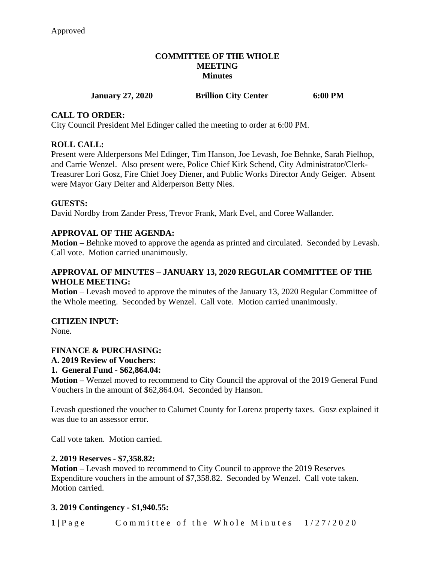#### **COMMITTEE OF THE WHOLE MEETING Minutes**

# **January 27, 2020 Brillion City Center 6:00 PM**

#### **CALL TO ORDER:**

City Council President Mel Edinger called the meeting to order at 6:00 PM.

#### **ROLL CALL:**

Present were Alderpersons Mel Edinger, Tim Hanson, Joe Levash, Joe Behnke, Sarah Pielhop, and Carrie Wenzel. Also present were, Police Chief Kirk Schend, City Administrator/Clerk-Treasurer Lori Gosz, Fire Chief Joey Diener, and Public Works Director Andy Geiger. Absent were Mayor Gary Deiter and Alderperson Betty Nies.

#### **GUESTS:**

David Nordby from Zander Press, Trevor Frank, Mark Evel, and Coree Wallander.

#### **APPROVAL OF THE AGENDA:**

**Motion –** Behnke moved to approve the agenda as printed and circulated. Seconded by Levash. Call vote. Motion carried unanimously.

#### **APPROVAL OF MINUTES – JANUARY 13, 2020 REGULAR COMMITTEE OF THE WHOLE MEETING:**

**Motion** – Levash moved to approve the minutes of the January 13, 2020 Regular Committee of the Whole meeting. Seconded by Wenzel. Call vote. Motion carried unanimously.

#### **CITIZEN INPUT:**

None.

#### **FINANCE & PURCHASING:**

#### **A. 2019 Review of Vouchers:**

#### **1. General Fund - \$62,864.04:**

**Motion –** Wenzel moved to recommend to City Council the approval of the 2019 General Fund Vouchers in the amount of \$62,864.04. Seconded by Hanson.

Levash questioned the voucher to Calumet County for Lorenz property taxes. Gosz explained it was due to an assessor error.

Call vote taken. Motion carried.

#### **2. 2019 Reserves - \$7,358.82:**

**Motion –** Levash moved to recommend to City Council to approve the 2019 Reserves Expenditure vouchers in the amount of \$7,358.82. Seconded by Wenzel. Call vote taken. Motion carried.

#### **3. 2019 Contingency - \$1,940.55:**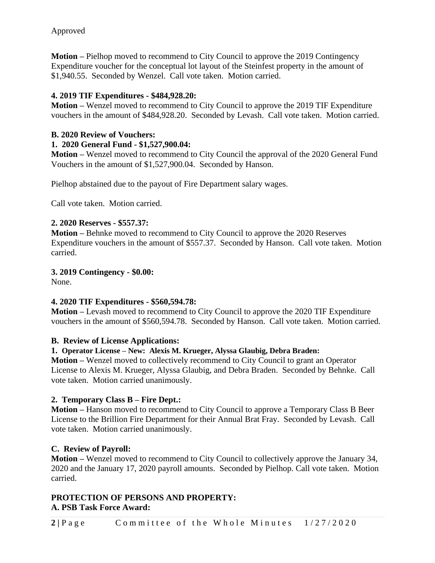**Motion –** Pielhop moved to recommend to City Council to approve the 2019 Contingency Expenditure voucher for the conceptual lot layout of the Steinfest property in the amount of \$1,940.55. Seconded by Wenzel. Call vote taken. Motion carried.

# **4. 2019 TIF Expenditures - \$484,928.20:**

**Motion –** Wenzel moved to recommend to City Council to approve the 2019 TIF Expenditure vouchers in the amount of \$484,928.20. Seconded by Levash. Call vote taken. Motion carried.

# **B. 2020 Review of Vouchers:**

# **1. 2020 General Fund - \$1,527,900.04:**

**Motion –** Wenzel moved to recommend to City Council the approval of the 2020 General Fund Vouchers in the amount of \$1,527,900.04. Seconded by Hanson.

Pielhop abstained due to the payout of Fire Department salary wages.

Call vote taken. Motion carried.

# **2. 2020 Reserves - \$557.37:**

**Motion –** Behnke moved to recommend to City Council to approve the 2020 Reserves Expenditure vouchers in the amount of \$557.37. Seconded by Hanson. Call vote taken. Motion carried.

# **3. 2019 Contingency - \$0.00:**

None.

# **4. 2020 TIF Expenditures - \$560,594.78:**

**Motion –** Levash moved to recommend to City Council to approve the 2020 TIF Expenditure vouchers in the amount of \$560,594.78. Seconded by Hanson. Call vote taken. Motion carried.

# **B. Review of License Applications:**

# **1. Operator License – New: Alexis M. Krueger, Alyssa Glaubig, Debra Braden:**

**Motion –** Wenzel moved to collectively recommend to City Council to grant an Operator License to Alexis M. Krueger, Alyssa Glaubig, and Debra Braden. Seconded by Behnke. Call vote taken. Motion carried unanimously.

# **2. Temporary Class B – Fire Dept.:**

**Motion –** Hanson moved to recommend to City Council to approve a Temporary Class B Beer License to the Brillion Fire Department for their Annual Brat Fray. Seconded by Levash. Call vote taken. Motion carried unanimously.

# **C. Review of Payroll:**

**Motion –** Wenzel moved to recommend to City Council to collectively approve the January 34, 2020 and the January 17, 2020 payroll amounts. Seconded by Pielhop. Call vote taken. Motion carried.

# **PROTECTION OF PERSONS AND PROPERTY: A. PSB Task Force Award:**